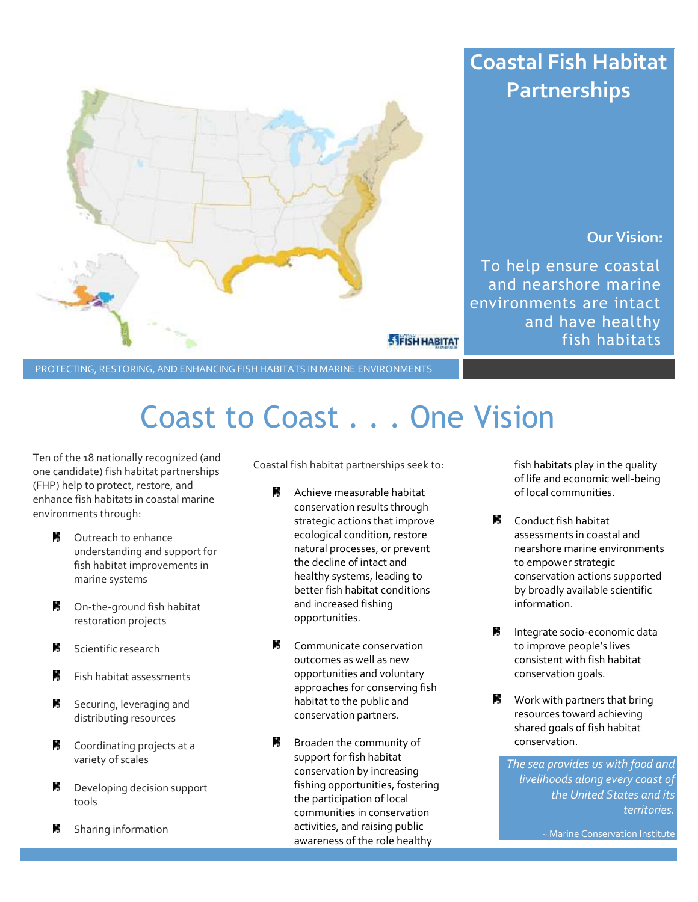

# **Coastal Fish Habitat Partnerships**

### **Our Vision:**

To help ensure coastal and nearshore marine environments are intact and have healthy fish habitats

PROTECTING, RESTORING, AND ENHANCING FISH HABITATS IN MARINE ENVIRONMENTS

# Coast to Coast . . . One Vision

Ten of the 18 nationally recognized (and one candidate) fish habitat partnerships (FHP) help to protect, restore, and enhance fish habitats in coastal marine environments through:

- P. Outreach to enhance understanding and support for fish habitat improvements in marine systems
- **B** On-the-ground fish habitat restoration projects
- F. Scientific research
- P. Fish habitat assessments
- P. Securing, leveraging and distributing resources
- P. Coordinating projects at a variety of scales
- P. Developing decision support tools
- P, Sharing information

Coastal fish habitat partnerships seek to:

- $\mathcal{L}$ Achieve measurable habitat conservation results through strategic actions that improve ecological condition, restore natural processes, or prevent the decline of intact and healthy systems, leading to better fish habitat conditions and increased fishing opportunities.
- **图** Communicate conservation outcomes as well as new opportunities and voluntary approaches for conserving fish habitat to the public and conservation partners.
- Broaden the community of support for fish habitat conservation by increasing fishing opportunities, fostering the participation of local communities in conservation activities, and raising public awareness of the role healthy

fish habitats play in the quality of life and economic well-being of local communities.

- **M** Conduct fish habitat assessments in coastal and nearshore marine environments to empower strategic conservation actions supported by broadly available scientific information.
- P. Integrate socio-economic data to improve people's lives consistent with fish habitat conservation goals.
- в. Work with partners that bring resources toward achieving shared goals of fish habitat conservation.

*The sea provides us with food and livelihoods along every coast of the United States and its territories.*

~ Marine Conservation Institute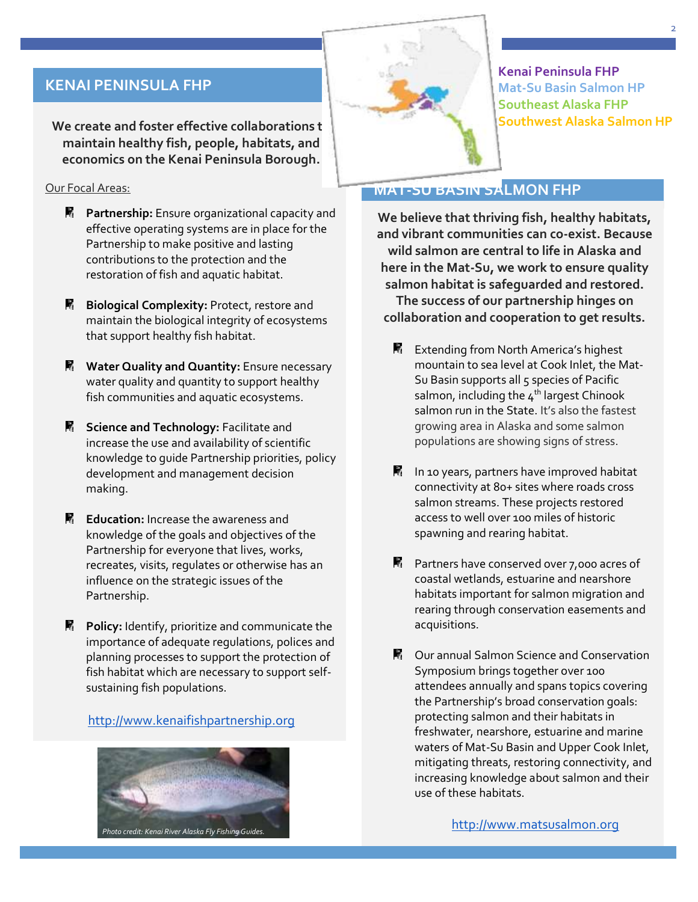# **KENAI PENINSULA FHP**

**We create and foster effective collaborations to all that maintain healthy fish, people, habitats, and economics on the Kenai Peninsula Borough.**

#### Our Focal Areas:

- **R** Partnership: Ensure organizational capacity and effective operating systems are in place for the Partnership to make positive and lasting contributions to the protection and the restoration of fish and aquatic habitat.
- **B** Biological Complexity: Protect, restore and maintain the biological integrity of ecosystems that support healthy fish habitat.
- **Water Quality and Quantity:** Ensure necessary water quality and quantity to support healthy fish communities and aquatic ecosystems.
- **K** Science and Technology: Facilitate and increase the use and availability of scientific knowledge to guide Partnership priorities, policy development and management decision making.
- **Education:** Increase the awareness and knowledge of the goals and objectives of the Partnership for everyone that lives, works, recreates, visits, regulates or otherwise has an influence on the strategic issues of the Partnership.
- **Policy:** Identify, prioritize and communicate the importance of adequate regulations, polices and planning processes to support the protection of fish habitat which are necessary to support selfsustaining fish populations.

[http://www.kenaifishpartnership.org](http://www.kenaifishpartnership.org/)



**Kenai Peninsula FHP Mat-Su Basin Salmon HP Southeast Alaska FHP Southwest Alaska Salmon HP**

# **MAT-SU BASIN SALMON FHP**

**We believe that thriving fish, healthy habitats, and vibrant communities can co-exist. Because wild salmon are central to life in Alaska and here in the Mat-Su, we work to ensure quality salmon habitat is safeguarded and restored. The success of our partnership hinges on collaboration and cooperation to get results.**

- P. Extending from North America's highest mountain to sea level at Cook Inlet, the Mat-Su Basin supports all 5 species of Pacific salmon, including the  $4<sup>th</sup>$  largest Chinook salmon run in the State. It's also the fastest growing area in Alaska and some salmon populations are showing signs of stress.
- $\blacksquare$  In 10 years, partners have improved habitat connectivity at 80+ sites where roads cross salmon streams. These projects restored access to well over 100 miles of historic spawning and rearing habitat.
- **Partners have conserved over 7,000 acres of** coastal wetlands, estuarine and nearshore habitats important for salmon migration and rearing through conservation easements and acquisitions.
- Our annual Salmon Science and Conservation Symposium brings together over 100 attendees annually and spans topics covering the Partnership's broad conservation goals: protecting salmon and their habitats in freshwater, nearshore, estuarine and marine waters of Mat-Su Basin and Upper Cook Inlet, mitigating threats, restoring connectivity, and increasing knowledge about salmon and their use of these habitats.

[http://www.matsusalmon.org](http://www.matsusalmon.org/)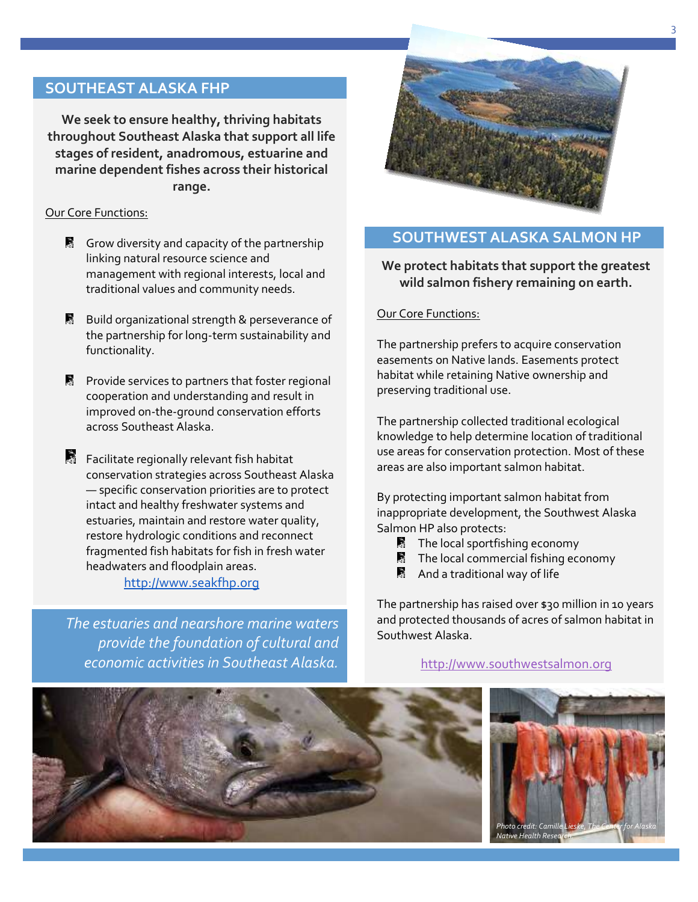# **SOUTHEAST ALASKA FHP**

**We seek to ensure healthy, thriving habitats throughout Southeast Alaska that support all life stages of resident, anadromous, estuarine and marine dependent fishes across their historical range.**

#### Our Core Functions:

- Grow diversity and capacity of the partnership linking natural resource science and management with regional interests, local and traditional values and community needs.
- **B** Build organizational strength & perseverance of the partnership for long-term sustainability and functionality.
- **Provide services to partners that foster regional** cooperation and understanding and result in improved on-the-ground conservation efforts across Southeast Alaska.
- Facilitate regionally relevant fish habitat conservation strategies across Southeast Alaska — specific conservation priorities are to protect intact and healthy freshwater systems and estuaries, maintain and restore water quality, restore hydrologic conditions and reconnect fragmented fish habitats for fish in fresh water headwaters and floodplain areas.

#### [http://www.seakfhp.org](http://www.seakfhp.org/)

*The estuaries and nearshore marine waters provide the foundation of cultural and economic activities in Southeast Alaska.*



# **SOUTHWEST ALASKA SALMON HP**

**We protect habitats that support the greatest wild salmon fishery remaining on earth.**

#### Our Core Functions:

The partnership prefers to acquire conservation easements on Native lands. Easements protect habitat while retaining Native ownership and preserving traditional use.

The partnership collected traditional ecological knowledge to help determine location of traditional use areas for conservation protection. Most of these areas are also important salmon habitat.

By protecting important salmon habitat from inappropriate development, the Southwest Alaska Salmon HP also protects:

- $\blacksquare$  The local sportfishing economy
- $\blacksquare$  The local commercial fishing economy
- **图** And a traditional way of life

The partnership has raised over \$30 million in 10 years and protected thousands of acres of salmon habitat in Southwest Alaska.

[http://www.southwestsalmon.org](http://www.southwestsalmon.org/)

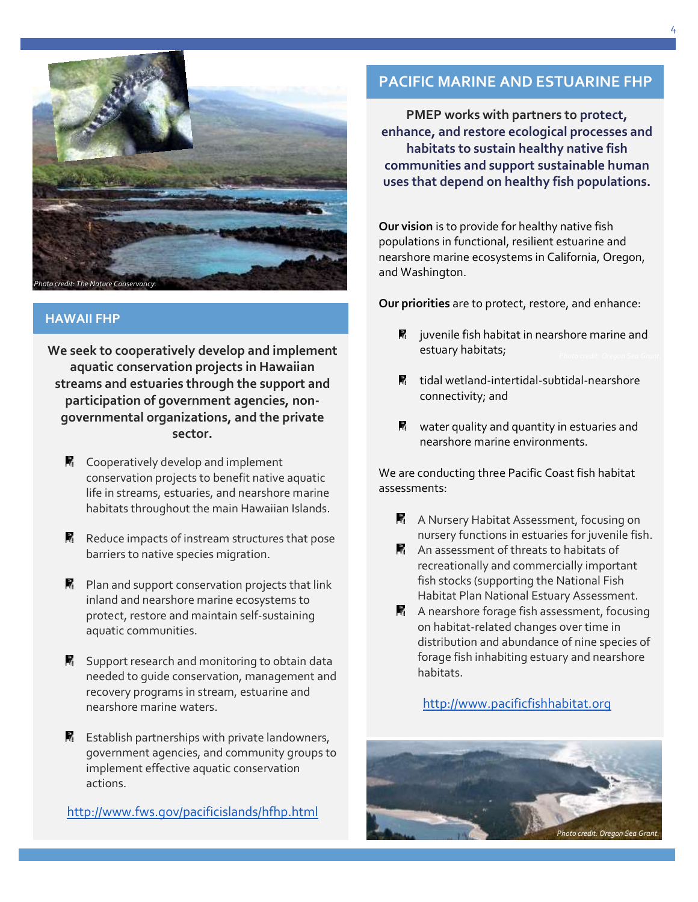

#### **HAWAII FHP**

**We seek to cooperatively develop and implement aquatic conservation projects in Hawaiian streams and estuaries through the support and participation of government agencies, nongovernmental organizations, and the private sector.**

- $\mathbb{R}$  Cooperatively develop and implement conservation projects to benefit native aquatic life in streams, estuaries, and nearshore marine habitats throughout the main Hawaiian Islands.
- $\mathbb{R}$  Reduce impacts of instream structures that pose barriers to native species migration.
- $\mathbb{R}$  Plan and support conservation projects that link inland and nearshore marine ecosystems to protect, restore and maintain self-sustaining aquatic communities.
- **K** Support research and monitoring to obtain data needed to guide conservation, management and recovery programs in stream, estuarine and nearshore marine waters.
- $\mathbb{R}$  Establish partnerships with private landowners, government agencies, and community groups to implement effective aquatic conservation actions.

<http://www.fws.gov/pacificislands/hfhp.html>

# **PACIFIC MARINE AND ESTUARINE FHP**

**PMEP works with partners to protect, enhance, and restore ecological processes and habitats to sustain healthy native fish communities and support sustainable human uses that depend on healthy fish populations.**

**Our vision** is to provide for healthy native fish populations in functional, resilient estuarine and nearshore marine ecosystems in California, Oregon, and Washington.

**Our priorities** are to protect, restore, and enhance:

- $\blacksquare$  juvenile fish habitat in nearshore marine and estuary habitats;
- tidal wetland-intertidal-subtidal-nearshore connectivity; and
- $\blacksquare$  water quality and quantity in estuaries and nearshore marine environments.

We are conducting three Pacific Coast fish habitat assessments:

- **A** A Nursery Habitat Assessment, focusing on nursery functions in estuaries for juvenile fish.
- **A** An assessment of threats to habitats of recreationally and commercially important fish stocks (supporting the National Fish Habitat Plan National Estuary Assessment.
- $\mathbb{R}$  A nearshore forage fish assessment, focusing on habitat-related changes over time in distribution and abundance of nine species of forage fish inhabiting estuary and nearshore habitats.

#### [http://www.pacificfishhabitat.org](http://www.pacificfishhabitat.org/)

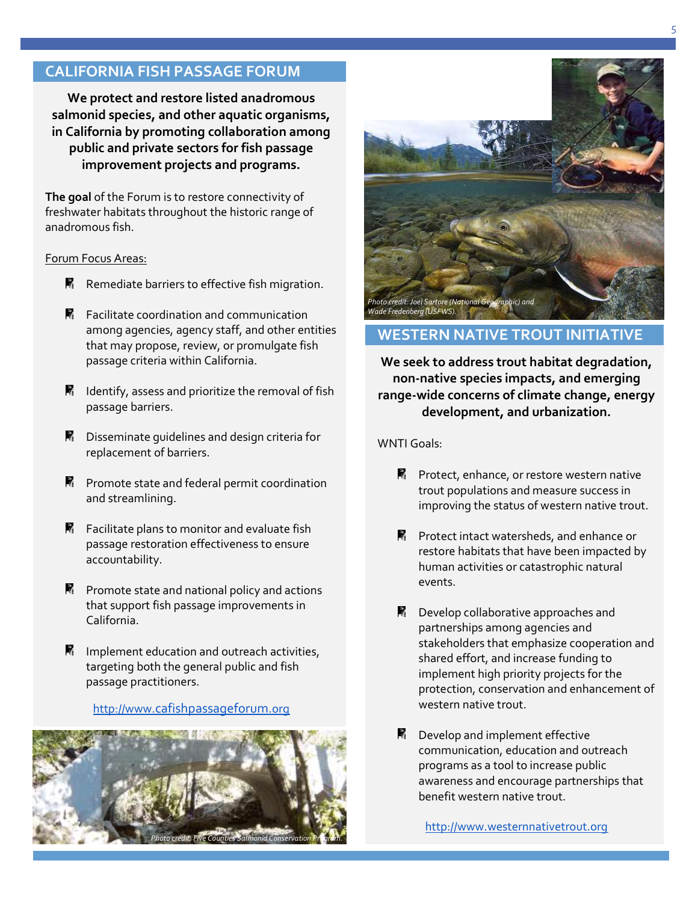# **CALIFORNIA FISH PASSAGE FORUM**

**We protect and restore listed anadromous salmonid species, and other aquatic organisms, in California by promoting collaboration among public and private sectors for fish passage improvement projects and programs.**

**The goal** of the Forum is to restore connectivity of freshwater habitats throughout the historic range of anadromous fish.

#### Forum Focus Areas:

- $R$  Remediate barriers to effective fish migration.
- $\blacksquare$  Facilitate coordination and communication among agencies, agency staff, and other entities that may propose, review, or promulgate fish passage criteria within California.
- $\blacksquare$  Identify, assess and prioritize the removal of fish passage barriers.
- **R** Disseminate guidelines and design criteria for replacement of barriers.
- **R** Promote state and federal permit coordination and streamlining.
- $\blacksquare$  Facilitate plans to monitor and evaluate fish passage restoration effectiveness to ensure accountability.
- $\blacksquare$  Promote state and national policy and actions that support fish passage improvements in California.
- $\blacksquare$  Implement education and outreach activities, targeting both the general public and fish passage practitioners.

#### http://www.[cafishpassageforum](http://www.cafishpassageforum.org/).org





# **WESTERN NATIVE TROUT INITIATIVE**

**We seek to address trout habitat degradation, non-native species impacts, and emerging range-wide concerns of climate change, energy development, and urbanization.**

WNTI Goals:

- $\blacksquare$  Protect, enhance, or restore western native trout populations and measure success in improving the status of western native trout.
- $\blacksquare$  Protect intact watersheds, and enhance or restore habitats that have been impacted by human activities or catastrophic natural events.
- **R** Develop collaborative approaches and partnerships among agencies and stakeholders that emphasize cooperation and shared effort, and increase funding to implement high priority projects for the protection, conservation and enhancement of western native trout.
- $\blacksquare$  Develop and implement effective communication, education and outreach programs as a tool to increase public awareness and encourage partnerships that benefit western native trout.

[http://www.westernnativetrout.org](http://www.westernnativetrout.org/)